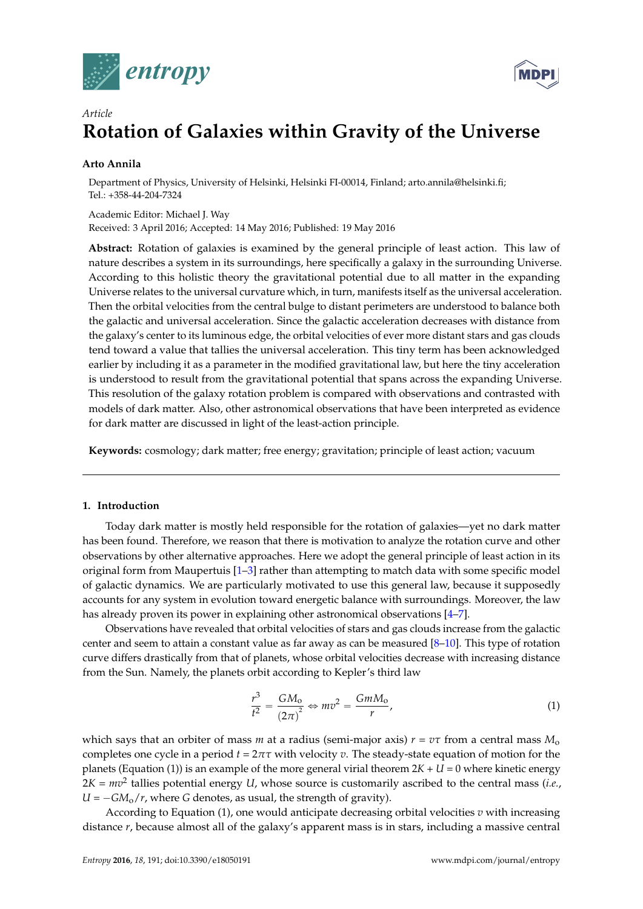



# *Article* **Rotation of Galaxies within Gravity of the Universe**

# **Arto Annila**

Department of Physics, University of Helsinki, Helsinki FI-00014, Finland; arto.annila@helsinki.fi; Tel.: +358-44-204-7324

Academic Editor: Michael J. Way Received: 3 April 2016; Accepted: 14 May 2016; Published: 19 May 2016

**Abstract:** Rotation of galaxies is examined by the general principle of least action. This law of nature describes a system in its surroundings, here specifically a galaxy in the surrounding Universe. According to this holistic theory the gravitational potential due to all matter in the expanding Universe relates to the universal curvature which, in turn, manifests itself as the universal acceleration. Then the orbital velocities from the central bulge to distant perimeters are understood to balance both the galactic and universal acceleration. Since the galactic acceleration decreases with distance from the galaxy's center to its luminous edge, the orbital velocities of ever more distant stars and gas clouds tend toward a value that tallies the universal acceleration. This tiny term has been acknowledged earlier by including it as a parameter in the modified gravitational law, but here the tiny acceleration is understood to result from the gravitational potential that spans across the expanding Universe. This resolution of the galaxy rotation problem is compared with observations and contrasted with models of dark matter. Also, other astronomical observations that have been interpreted as evidence for dark matter are discussed in light of the least-action principle.

**Keywords:** cosmology; dark matter; free energy; gravitation; principle of least action; vacuum

## **1. Introduction**

Today dark matter is mostly held responsible for the rotation of galaxies—yet no dark matter has been found. Therefore, we reason that there is motivation to analyze the rotation curve and other observations by other alternative approaches. Here we adopt the general principle of least action in its original form from Maupertuis [\[1](#page-11-0)[–3\]](#page-11-1) rather than attempting to match data with some specific model of galactic dynamics. We are particularly motivated to use this general law, because it supposedly accounts for any system in evolution toward energetic balance with surroundings. Moreover, the law has already proven its power in explaining other astronomical observations [\[4–](#page-11-2)[7\]](#page-11-3).

Observations have revealed that orbital velocities of stars and gas clouds increase from the galactic center and seem to attain a constant value as far away as can be measured [\[8–](#page-11-4)[10\]](#page-11-5). This type of rotation curve differs drastically from that of planets, whose orbital velocities decrease with increasing distance from the Sun. Namely, the planets orbit according to Kepler's third law

$$
\frac{r^3}{t^2} = \frac{GM_0}{(2\pi)^2} \Leftrightarrow mv^2 = \frac{GmM_0}{r},\tag{1}
$$

which says that an orbiter of mass *m* at a radius (semi-major axis)  $r = v\tau$  from a central mass  $M_0$ completes one cycle in a period  $t = 2\pi\tau$  with velocity *v*. The steady-state equation of motion for the planets (Equation (1)) is an example of the more general virial theorem  $2K + U = 0$  where kinetic energy  $2K = mv^2$  tallies potential energy *U*, whose source is customarily ascribed to the central mass (*i.e.*,  $U = -GM<sub>o</sub>/r$ , where *G* denotes, as usual, the strength of gravity).

According to Equation (1), one would anticipate decreasing orbital velocities *v* with increasing distance *r*, because almost all of the galaxy's apparent mass is in stars, including a massive central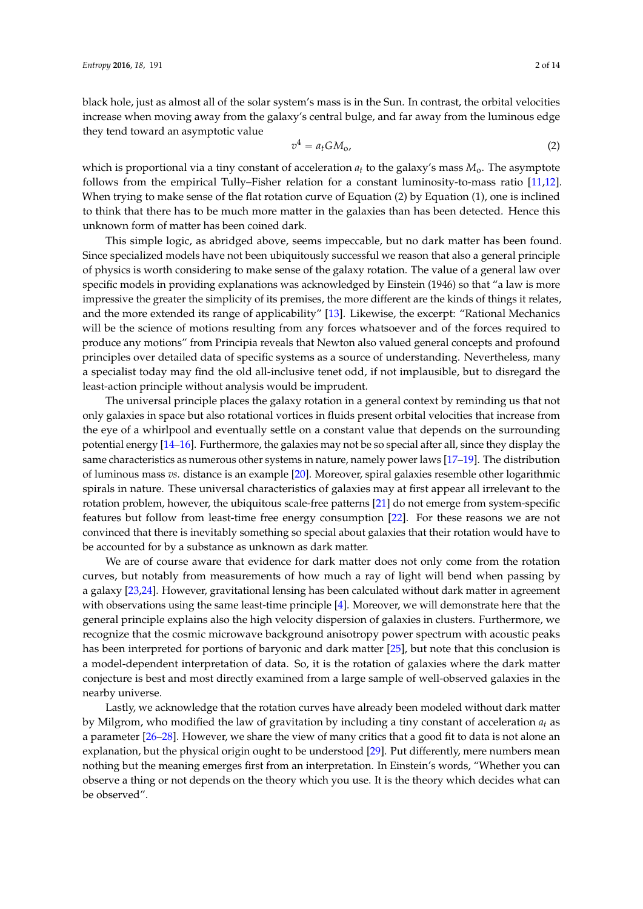black hole, just as almost all of the solar system's mass is in the Sun. In contrast, the orbital velocities increase when moving away from the galaxy's central bulge, and far away from the luminous edge they tend toward an asymptotic value

$$
v^4 = a_t G M_0,\tag{2}
$$

which is proportional via a tiny constant of acceleration *a<sup>t</sup>* to the galaxy's mass *M*o. The asymptote follows from the empirical Tully–Fisher relation for a constant luminosity-to-mass ratio [\[11,](#page-11-6)[12\]](#page-11-7). When trying to make sense of the flat rotation curve of Equation (2) by Equation (1), one is inclined to think that there has to be much more matter in the galaxies than has been detected. Hence this unknown form of matter has been coined dark.

This simple logic, as abridged above, seems impeccable, but no dark matter has been found. Since specialized models have not been ubiquitously successful we reason that also a general principle of physics is worth considering to make sense of the galaxy rotation. The value of a general law over specific models in providing explanations was acknowledged by Einstein (1946) so that "a law is more impressive the greater the simplicity of its premises, the more different are the kinds of things it relates, and the more extended its range of applicability" [\[13\]](#page-11-8). Likewise, the excerpt: "Rational Mechanics will be the science of motions resulting from any forces whatsoever and of the forces required to produce any motions" from Principia reveals that Newton also valued general concepts and profound principles over detailed data of specific systems as a source of understanding. Nevertheless, many a specialist today may find the old all-inclusive tenet odd, if not implausible, but to disregard the least-action principle without analysis would be imprudent.

The universal principle places the galaxy rotation in a general context by reminding us that not only galaxies in space but also rotational vortices in fluids present orbital velocities that increase from the eye of a whirlpool and eventually settle on a constant value that depends on the surrounding potential energy [\[14](#page-11-9)[–16\]](#page-11-10). Furthermore, the galaxies may not be so special after all, since they display the same characteristics as numerous other systems in nature, namely power laws [\[17–](#page-11-11)[19\]](#page-11-12). The distribution of luminous mass *vs.* distance is an example [\[20\]](#page-11-13). Moreover, spiral galaxies resemble other logarithmic spirals in nature. These universal characteristics of galaxies may at first appear all irrelevant to the rotation problem, however, the ubiquitous scale-free patterns [\[21\]](#page-12-0) do not emerge from system-specific features but follow from least-time free energy consumption [\[22\]](#page-12-1). For these reasons we are not convinced that there is inevitably something so special about galaxies that their rotation would have to be accounted for by a substance as unknown as dark matter.

We are of course aware that evidence for dark matter does not only come from the rotation curves, but notably from measurements of how much a ray of light will bend when passing by a galaxy [\[23,](#page-12-2)[24\]](#page-12-3). However, gravitational lensing has been calculated without dark matter in agreement with observations using the same least-time principle [\[4\]](#page-11-2). Moreover, we will demonstrate here that the general principle explains also the high velocity dispersion of galaxies in clusters. Furthermore, we recognize that the cosmic microwave background anisotropy power spectrum with acoustic peaks has been interpreted for portions of baryonic and dark matter [\[25\]](#page-12-4), but note that this conclusion is a model-dependent interpretation of data. So, it is the rotation of galaxies where the dark matter conjecture is best and most directly examined from a large sample of well-observed galaxies in the nearby universe.

Lastly, we acknowledge that the rotation curves have already been modeled without dark matter by Milgrom, who modified the law of gravitation by including a tiny constant of acceleration  $a_t$  as a parameter [\[26](#page-12-5)[–28\]](#page-12-6). However, we share the view of many critics that a good fit to data is not alone an explanation, but the physical origin ought to be understood [\[29\]](#page-12-7). Put differently, mere numbers mean nothing but the meaning emerges first from an interpretation. In Einstein's words, "Whether you can observe a thing or not depends on the theory which you use. It is the theory which decides what can be observed".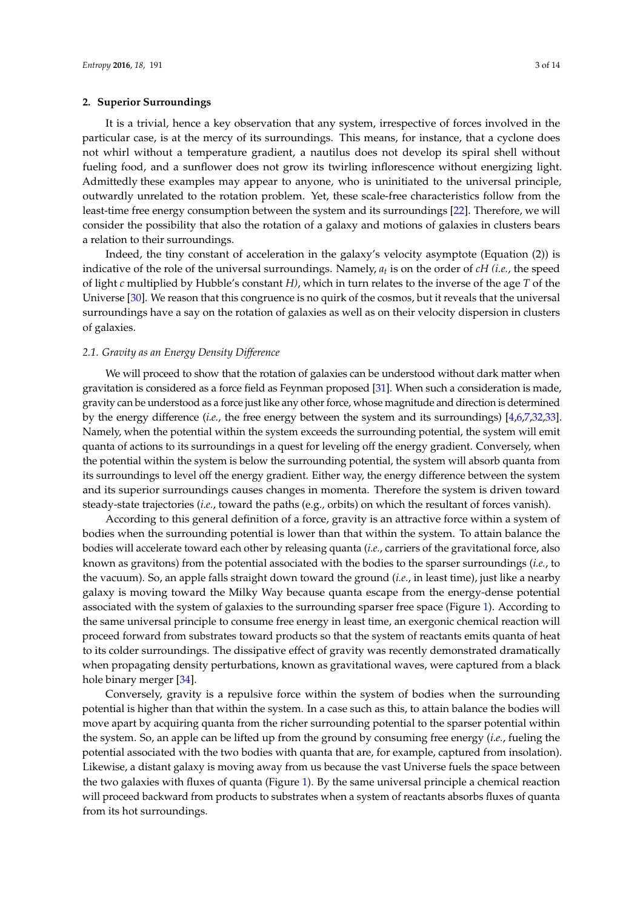#### **2. Superior Surroundings**

It is a trivial, hence a key observation that any system, irrespective of forces involved in the particular case, is at the mercy of its surroundings. This means, for instance, that a cyclone does not whirl without a temperature gradient, a nautilus does not develop its spiral shell without fueling food, and a sunflower does not grow its twirling inflorescence without energizing light. Admittedly these examples may appear to anyone, who is uninitiated to the universal principle, outwardly unrelated to the rotation problem. Yet, these scale-free characteristics follow from the least-time free energy consumption between the system and its surroundings [\[22\]](#page-12-1). Therefore, we will consider the possibility that also the rotation of a galaxy and motions of galaxies in clusters bears a relation to their surroundings.

Indeed, the tiny constant of acceleration in the galaxy's velocity asymptote (Equation (2)) is indicative of the role of the universal surroundings. Namely, *a<sup>t</sup>* is on the order of *cH (i.e.*, the speed of light *c* multiplied by Hubble's constant *H)*, which in turn relates to the inverse of the age *T* of the Universe [\[30\]](#page-12-8). We reason that this congruence is no quirk of the cosmos, but it reveals that the universal surroundings have a say on the rotation of galaxies as well as on their velocity dispersion in clusters of galaxies.

#### *2.1. Gravity as an Energy Density Difference*

We will proceed to show that the rotation of galaxies can be understood without dark matter when gravitation is considered as a force field as Feynman proposed [\[31\]](#page-12-9). When such a consideration is made, gravity can be understood as a force just like any other force, whose magnitude and direction is determined by the energy difference (*i.e.*, the free energy between the system and its surroundings) [\[4,](#page-11-2)[6](#page-11-14)[,7,](#page-11-3)[32,](#page-12-10)[33\]](#page-12-11). Namely, when the potential within the system exceeds the surrounding potential, the system will emit quanta of actions to its surroundings in a quest for leveling off the energy gradient. Conversely, when the potential within the system is below the surrounding potential, the system will absorb quanta from its surroundings to level off the energy gradient. Either way, the energy difference between the system and its superior surroundings causes changes in momenta. Therefore the system is driven toward steady-state trajectories (*i.e.*, toward the paths (e.g., orbits) on which the resultant of forces vanish).

According to this general definition of a force, gravity is an attractive force within a system of bodies when the surrounding potential is lower than that within the system. To attain balance the bodies will accelerate toward each other by releasing quanta (*i.e.*, carriers of the gravitational force, also known as gravitons) from the potential associated with the bodies to the sparser surroundings (*i.e.*, to the vacuum). So, an apple falls straight down toward the ground (*i.e.*, in least time), just like a nearby galaxy is moving toward the Milky Way because quanta escape from the energy-dense potential associated with the system of galaxies to the surrounding sparser free space (Figure [1\)](#page-3-0). According to the same universal principle to consume free energy in least time, an exergonic chemical reaction will proceed forward from substrates toward products so that the system of reactants emits quanta of heat to its colder surroundings. The dissipative effect of gravity was recently demonstrated dramatically when propagating density perturbations, known as gravitational waves, were captured from a black hole binary merger [\[34\]](#page-12-12).

Conversely, gravity is a repulsive force within the system of bodies when the surrounding potential is higher than that within the system. In a case such as this, to attain balance the bodies will move apart by acquiring quanta from the richer surrounding potential to the sparser potential within the system. So, an apple can be lifted up from the ground by consuming free energy (*i.e.*, fueling the potential associated with the two bodies with quanta that are, for example, captured from insolation). Likewise, a distant galaxy is moving away from us because the vast Universe fuels the space between the two galaxies with fluxes of quanta (Figure [1\)](#page-3-0). By the same universal principle a chemical reaction will proceed backward from products to substrates when a system of reactants absorbs fluxes of quanta from its hot surroundings.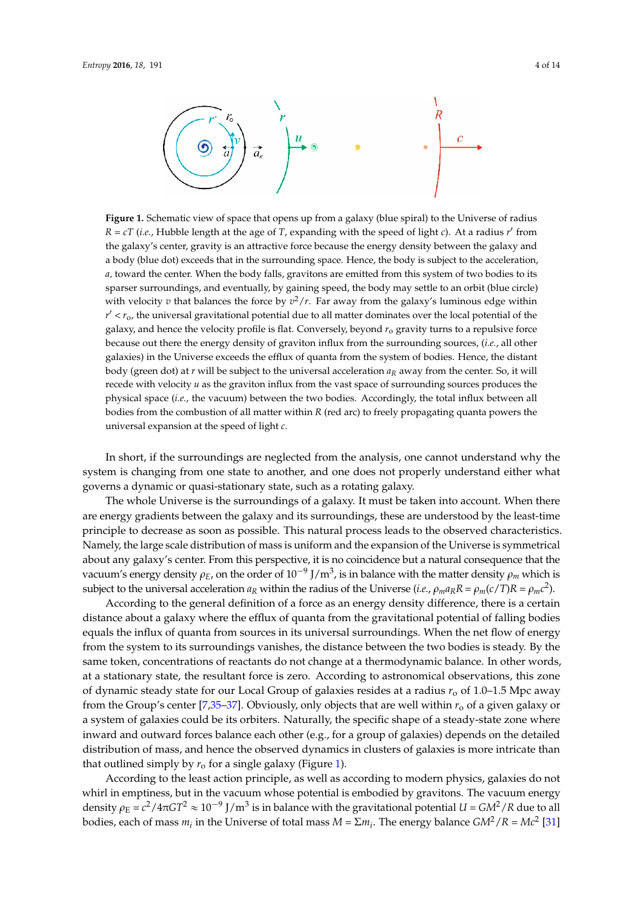<span id="page-3-0"></span>

**Figure 1.** Schematic view of space that opens up from a galaxy (blue spiral) to the Universe of radius **Figure 1.** Schematic view of space that opens up from a galaxy (blue spiral) to the Universe of radius  $R = cT$  (*i.e.*, Hubble length at the age of T, expanding with the speed of light *c*). At a radius r' from the galaxy's center, gravity is an attractive force because the energy density between the galaxy and body (blue dot) exceeds that in the surrounding space. Hence, the body is subject to the acceleration, a body (blue dot) exceeds that in the surrounding space. Hence, the body is subject to the acceleration, *a,* toward the center. When the body falls, gravitons are emitted from this system of two bodies to its *a,* toward the center. When the body falls, gravitons are emitted from this system of two bodies to its sparser surroundings, and eventually, by gaining speed, the body may settle to an orbit (blue circle) sparser surroundings, and eventually, by gaining speed, the body may settle to an orbit (blue circle) with velocity  $v$  that balances the force by  $v^2/r$ . Far away from the galaxy's luminous edge within  $r' < r_0$ , the universal gravitational potential due to all matter dominates over the local potential of the galaxy, and hence the velocity profile is flat. Conversely, beyond *r*o gravity turns to a repulsive force galaxy, and hence the velocity profile is flat. Conversely, beyond *r*<sup>o</sup> gravity turns to a repulsive force because out there the energy density of graviton influx from the surrounding sources, (*i.e.*, all other because out there the energy density of graviton influx from the surrounding sources, (*i.e.*, all other galaxies) in the Universe exceeds the efflux of quanta from the system of bodies. Hence, the distant galaxies) in the Universe exceeds the efflux of quanta from the system of bodies. Hence, the distant body (green dot) at  $r$  will be subject to the universal acceleration  $a_R$  away from the center. So, it will recede with velocity *u* as the graviton influx from the vast space of surrounding sources produces the recede with velocity *u* as the graviton influx from the vast space of surrounding sources produces the physical space *(i.e.*, the vacuum) between the two bodies. Accordingly, the total influx between all physical space (*i.e.*, the vacuum) between the two bodies. Accordingly, the total influx between all bodies from the combustion of all matter within *R* (red arc) to freely propagating quanta powers the bodies from the combustion of all matter within *R* (red arc) to freely propagating quanta powers the universal expansion at the speed of light *c*. universal expansion at the speed of light *c*.

In short, if the surroundings are neglected from the analysis, one cannot understand why the In short, if the surroundings are neglected from the analysis, one cannot understand why the system is changing from one state to another, and one does not properly understand either what system is changing from one state to another, and one does not properly understand either what governs a dynamic or quasi-stationary state, such as a rotating galaxy. governs a dynamic or quasi-stationary state, such as a rotating galaxy.

The whole Universe is the surroundings of a galaxy. It must be taken into account. When there The whole Universe is the surroundings of a galaxy. It must be taken into account. When there are energy gradients between the galaxy and its surroundings, these are understood by the least-time are energy gradients between the galaxy and its surroundings, these are understood by the least-time principle to decrease as soon as possible. This natural process leads to the observed characteristics. principle to decrease as soon as possible. This natural process leads to the observed characteristics. Namely, the large scale distribution of mass is uniform and the expansion of the Universe is Namely, the large scale distribution of mass is uniform and the expansion of the Universe is symmetrical about any galaxy's center. From this perspective, it is no coincidence but a natural consequence that the vacuum's energy density  $\rho_E$ , on the order of  $10^{-9}$  J/m<sup>3</sup>, is in balance with the matter density  $\rho_m$  which is subject to the universal acceleration  $a_R$  within the radius of the Universe (*i.e.*,  $\rho_m a_R R = \rho_m (c/T)R = \rho_m c^2$ ).

*(i.e., <i>p*<sub>m</sub><sup>*m*</sup>). According to the general definition of a force as an energy density difference, there is a certain distance about a galaxy where the efflux of quanta from the gravitational potential of falling bodies equals the influx of quanta from sources in its universal surroundings. When the net flow of energy from the system to its surroundings vanishes, the distance between the two bodies is steady. By the same token, concentrations of reactants do not change at a thermodynamic balance. In other words, at a stationary state, the resultant force is zero. According to astronomical observations, this zone of dynamic steady state for our Local Group of galaxies resides at a radius *r*<sub>o</sub> of 1.0–1.5 Mpc away from the Group's center [\[7](#page-11-3)[,35–](#page-12-13)[37\]](#page-12-14). Obviously, only objects that are well within  $r_0$  of a given galaxy or a system of galaxies could be its orbiters. Naturally, the specific shape of a steady-state zone where inward and outward forces balance each other (e.g., for a group of galaxies) depends on the detailed distribution of mass, and hence the observed dynamics in clusters of galaxies is more intricate than that outlined simply by  $r_0$  for a single galaxy (Figure [1\)](#page-3-0).

According to the least action principle, as well as according to modern physics, galaxies do not whirl in emptiness, but in the vacuum whose potential is embodied by gravitons. The vacuum energy density  $\rho_E = c^2/4\pi G T^2 \approx 10^{-9}$  J/m<sup>3</sup> is in balance with the gravitational potential  $U = GM^2/R$  due to all bodies, each of mass  $m_i$  in the Universe of total mass  $M = \sum m_i$ . The energy balance  $GM^2/R = Mc^2$  [\[31\]](#page-12-9) bodies, each of mass *mi* in the Universe of total mass *M* = Σ*mi*. The energy balance *GM*2/*R* = *Mc*2 [31]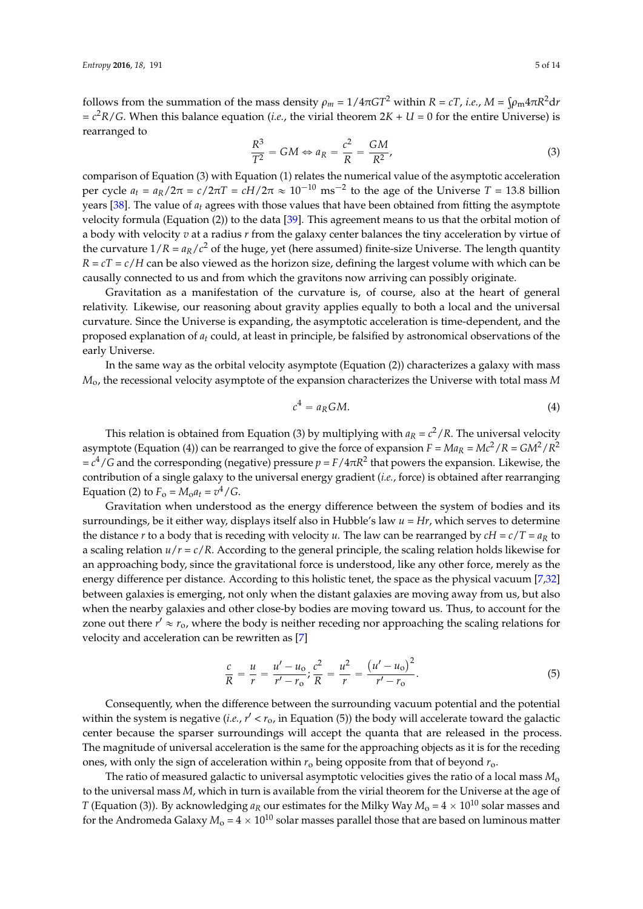follows from the summation of the mass density  $\rho_m = 1/4\pi G T^2$  within  $R = cT$ , *i.e.*,  $M =$ *ρ*m4π*R* <sup>2</sup>d*r*  $=c^2R/G$ . When this balance equation (*i.e.*, the virial theorem  $2K+U=0$  for the entire Universe) is rearranged to

$$
\frac{R^3}{T^2} = GM \Leftrightarrow a_R = \frac{c^2}{R} = \frac{GM}{R^2},\tag{3}
$$

comparison of Equation (3) with Equation (1) relates the numerical value of the asymptotic acceleration per cycle  $a_t = a_R/2\pi = c/2\pi T = cH/2\pi \approx 10^{-10} \text{ ms}^{-2}$  to the age of the Universe  $T = 13.8$  billion years [\[38\]](#page-12-15). The value of *at* agrees with those values that have been obtained from fitting the asymptote velocity formula (Equation (2)) to the data [\[39\]](#page-12-16). This agreement means to us that the orbital motion of a body with velocity *v* at a radius *r* from the galaxy center balances the tiny acceleration by virtue of the curvature  $1/R = a_R/c^2$  of the huge, yet (here assumed) finite-size Universe. The length quantity  $R = cT = c/H$  can be also viewed as the horizon size, defining the largest volume with which can be causally connected to us and from which the gravitons now arriving can possibly originate.

Gravitation as a manifestation of the curvature is, of course, also at the heart of general relativity. Likewise, our reasoning about gravity applies equally to both a local and the universal curvature. Since the Universe is expanding, the asymptotic acceleration is time-dependent, and the proposed explanation of *at* could, at least in principle, be falsified by astronomical observations of the early Universe.

In the same way as the orbital velocity asymptote (Equation (2)) characterizes a galaxy with mass *M*o, the recessional velocity asymptote of the expansion characterizes the Universe with total mass *M*

$$
c^4 = a_R G M. \tag{4}
$$

This relation is obtained from Equation (3) by multiplying with  $a_R = c^2/R$ . The universal velocity asymptote (Equation (4)) can be rearranged to give the force of expansion  $F = Ma_R = Mc^2/R = GM^2/R^2$  $=c^4/G$  and the corresponding (negative) pressure  $p = F/4\pi R^2$  that powers the expansion. Likewise, the contribution of a single galaxy to the universal energy gradient (*i.e.*, force) is obtained after rearranging Equation (2) to  $F_0 = M_0 a_t = v^4 / G$ .

Gravitation when understood as the energy difference between the system of bodies and its surroundings, be it either way, displays itself also in Hubble's law *u* = *Hr*, which serves to determine the distance *r* to a body that is receding with velocity *u*. The law can be rearranged by  $cH = c/T = a_R$  to a scaling relation  $u/r = c/R$ . According to the general principle, the scaling relation holds likewise for an approaching body, since the gravitational force is understood, like any other force, merely as the energy difference per distance. According to this holistic tenet, the space as the physical vacuum [\[7,](#page-11-3)[32\]](#page-12-10) between galaxies is emerging, not only when the distant galaxies are moving away from us, but also when the nearby galaxies and other close-by bodies are moving toward us. Thus, to account for the zone out there  $r' \approx r_0$ , where the body is neither receding nor approaching the scaling relations for velocity and acceleration can be rewritten as [\[7\]](#page-11-3)

$$
\frac{c}{R} = \frac{u}{r} = \frac{u' - u_0}{r' - r_0}; \frac{c^2}{R} = \frac{u^2}{r} = \frac{(u' - u_0)^2}{r' - r_0}.
$$
\n(5)

Consequently, when the difference between the surrounding vacuum potential and the potential within the system is negative (*i.e.*,  $r' < r_0$ , in Equation (5)) the body will accelerate toward the galactic center because the sparser surroundings will accept the quanta that are released in the process. The magnitude of universal acceleration is the same for the approaching objects as it is for the receding ones, with only the sign of acceleration within  $r_0$  being opposite from that of beyond  $r_0$ .

The ratio of measured galactic to universal asymptotic velocities gives the ratio of a local mass *M*o to the universal mass *M*, which in turn is available from the virial theorem for the Universe at the age of *T* (Equation (3)). By acknowledging  $a_R$  our estimates for the Milky Way  $M_0 = 4 \times 10^{10}$  solar masses and for the Andromeda Galaxy  $M_0 = 4 \times 10^{10}$  solar masses parallel those that are based on luminous matter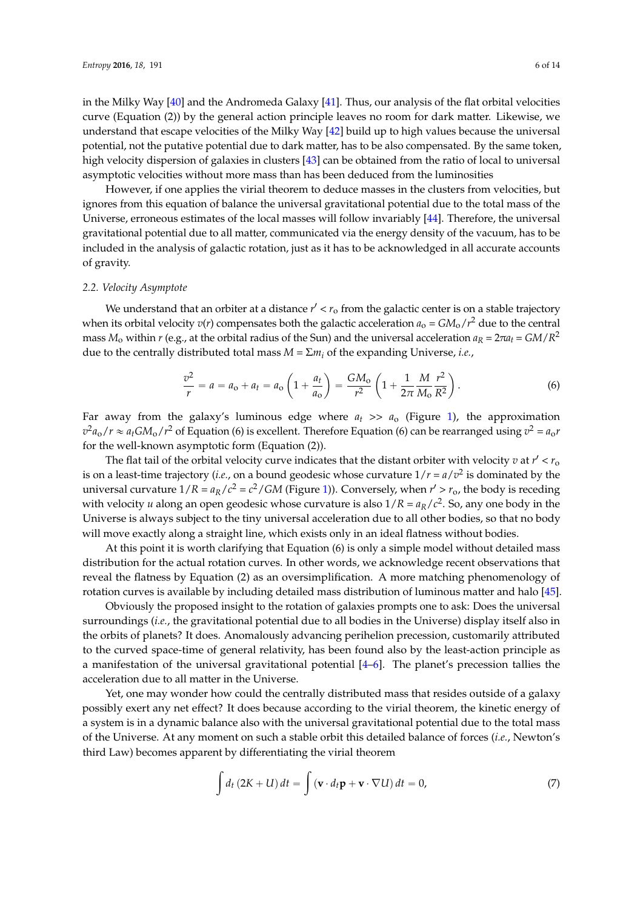in the Milky Way [\[40\]](#page-12-17) and the Andromeda Galaxy [\[41\]](#page-12-18). Thus, our analysis of the flat orbital velocities curve (Equation (2)) by the general action principle leaves no room for dark matter. Likewise, we understand that escape velocities of the Milky Way [\[42\]](#page-12-19) build up to high values because the universal potential, not the putative potential due to dark matter, has to be also compensated. By the same token,

asymptotic velocities without more mass than has been deduced from the luminosities However, if one applies the virial theorem to deduce masses in the clusters from velocities, but ignores from this equation of balance the universal gravitational potential due to the total mass of the Universe, erroneous estimates of the local masses will follow invariably [\[44\]](#page-12-21). Therefore, the universal gravitational potential due to all matter, communicated via the energy density of the vacuum, has to be included in the analysis of galactic rotation, just as it has to be acknowledged in all accurate accounts of gravity.

high velocity dispersion of galaxies in clusters [\[43\]](#page-12-20) can be obtained from the ratio of local to universal

### *2.2. Velocity Asymptote*

We understand that an orbiter at a distance  $r' < r_0$  from the galactic center is on a stable trajectory when its orbital velocity  $v(r)$  compensates both the galactic acceleration  $a_0 = GM_0/r^2$  due to the central mass  $M_o$  within  $r$  (e.g., at the orbital radius of the Sun) and the universal acceleration  $a_R = 2\pi a_t = GM/R^2$ due to the centrally distributed total mass  $M = \sum m_i$  of the expanding Universe, *i.e.*,

$$
\frac{v^2}{r} = a = a_0 + a_t = a_0 \left( 1 + \frac{a_t}{a_0} \right) = \frac{GM_0}{r^2} \left( 1 + \frac{1}{2\pi} \frac{M}{M_0} \frac{r^2}{R^2} \right).
$$
 (6)

Far away from the galaxy's luminous edge where  $a_t \gg a_0$  (Figure [1\)](#page-3-0), the approximation  $v^2 a_o/r \approx a_t G M_o/r^2$  of Equation (6) is excellent. Therefore Equation (6) can be rearranged using  $v^2 = a_o r$ for the well-known asymptotic form (Equation (2)).

The flat tail of the orbital velocity curve indicates that the distant orbiter with velocity  $v$  at  $r' < r_0$ is on a least-time trajectory (*i.e.*, on a bound geodesic whose curvature 1/*r* = *a*/*v* 2 is dominated by the universal curvature  $1/R = a_R/c^2 = c^2/GM$  (Figure [1\)](#page-3-0)). Conversely, when  $r' > r_0$ , the body is receding with velocity *u* along an open geodesic whose curvature is also 1/*R* = *aR*/*c* 2 . So, any one body in the Universe is always subject to the tiny universal acceleration due to all other bodies, so that no body will move exactly along a straight line, which exists only in an ideal flatness without bodies.

At this point it is worth clarifying that Equation (6) is only a simple model without detailed mass distribution for the actual rotation curves. In other words, we acknowledge recent observations that reveal the flatness by Equation (2) as an oversimplification. A more matching phenomenology of rotation curves is available by including detailed mass distribution of luminous matter and halo [\[45\]](#page-12-22).

Obviously the proposed insight to the rotation of galaxies prompts one to ask: Does the universal surroundings (*i.e.*, the gravitational potential due to all bodies in the Universe) display itself also in the orbits of planets? It does. Anomalously advancing perihelion precession, customarily attributed to the curved space-time of general relativity, has been found also by the least-action principle as a manifestation of the universal gravitational potential [\[4–](#page-11-2)[6\]](#page-11-14). The planet's precession tallies the acceleration due to all matter in the Universe.

Yet, one may wonder how could the centrally distributed mass that resides outside of a galaxy possibly exert any net effect? It does because according to the virial theorem, the kinetic energy of a system is in a dynamic balance also with the universal gravitational potential due to the total mass of the Universe. At any moment on such a stable orbit this detailed balance of forces (*i.e.*, Newton's third Law) becomes apparent by differentiating the virial theorem

$$
\int d_t (2K + U) dt = \int (\mathbf{v} \cdot d_t \mathbf{p} + \mathbf{v} \cdot \nabla U) dt = 0,
$$
\n(7)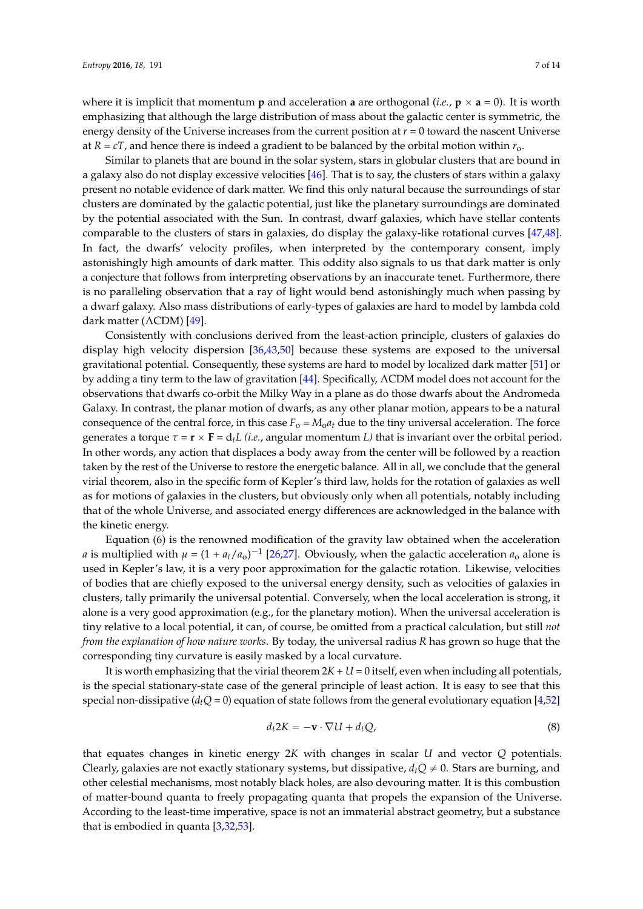where it is implicit that momentum **p** and acceleration **a** are orthogonal (*i.e.*,  $\mathbf{p} \times \mathbf{a} = 0$ ). It is worth emphasizing that although the large distribution of mass about the galactic center is symmetric, the energy density of the Universe increases from the current position at *r* = 0 toward the nascent Universe at  $R = cT$ , and hence there is indeed a gradient to be balanced by the orbital motion within  $r_o$ .

Similar to planets that are bound in the solar system, stars in globular clusters that are bound in a galaxy also do not display excessive velocities [\[46\]](#page-12-23). That is to say, the clusters of stars within a galaxy present no notable evidence of dark matter. We find this only natural because the surroundings of star clusters are dominated by the galactic potential, just like the planetary surroundings are dominated by the potential associated with the Sun. In contrast, dwarf galaxies, which have stellar contents comparable to the clusters of stars in galaxies, do display the galaxy-like rotational curves [\[47,](#page-12-24)[48\]](#page-12-25). In fact, the dwarfs' velocity profiles, when interpreted by the contemporary consent, imply astonishingly high amounts of dark matter. This oddity also signals to us that dark matter is only a conjecture that follows from interpreting observations by an inaccurate tenet. Furthermore, there is no paralleling observation that a ray of light would bend astonishingly much when passing by a dwarf galaxy. Also mass distributions of early-types of galaxies are hard to model by lambda cold dark matter (ΛCDM) [\[49\]](#page-13-0).

Consistently with conclusions derived from the least-action principle, clusters of galaxies do display high velocity dispersion [\[36](#page-12-26)[,43](#page-12-20)[,50\]](#page-13-1) because these systems are exposed to the universal gravitational potential. Consequently, these systems are hard to model by localized dark matter [\[51\]](#page-13-2) or by adding a tiny term to the law of gravitation [\[44\]](#page-12-21). Specifically, ΛCDM model does not account for the observations that dwarfs co-orbit the Milky Way in a plane as do those dwarfs about the Andromeda Galaxy. In contrast, the planar motion of dwarfs, as any other planar motion, appears to be a natural consequence of the central force, in this case  $F_0 = M_0 a_t$  due to the tiny universal acceleration. The force generates a torque  $\tau = \mathbf{r} \times \mathbf{F} = d_t L$  *(i.e.,* angular momentum *L*) that is invariant over the orbital period. In other words, any action that displaces a body away from the center will be followed by a reaction taken by the rest of the Universe to restore the energetic balance. All in all, we conclude that the general virial theorem, also in the specific form of Kepler's third law, holds for the rotation of galaxies as well as for motions of galaxies in the clusters, but obviously only when all potentials, notably including that of the whole Universe, and associated energy differences are acknowledged in the balance with the kinetic energy.

Equation (6) is the renowned modification of the gravity law obtained when the acceleration *a* is multiplied with  $\mu = (1 + a_t/a_0)^{-1}$  [\[26,](#page-12-5)[27\]](#page-12-27). Obviously, when the galactic acceleration  $a_0$  alone is used in Kepler's law, it is a very poor approximation for the galactic rotation. Likewise, velocities of bodies that are chiefly exposed to the universal energy density, such as velocities of galaxies in clusters, tally primarily the universal potential. Conversely, when the local acceleration is strong, it alone is a very good approximation (e.g., for the planetary motion). When the universal acceleration is tiny relative to a local potential, it can, of course, be omitted from a practical calculation, but still *not from the explanation of how nature works*. By today, the universal radius *R* has grown so huge that the corresponding tiny curvature is easily masked by a local curvature.

It is worth emphasizing that the virial theorem  $2K + U = 0$  itself, even when including all potentials, is the special stationary-state case of the general principle of least action. It is easy to see that this special non-dissipative ( $d_tQ = 0$ ) equation of state follows from the general evolutionary equation [\[4,](#page-11-2)[52\]](#page-13-3)

$$
d_t 2K = -\mathbf{v} \cdot \nabla U + d_t Q,\tag{8}
$$

that equates changes in kinetic energy 2*K* with changes in scalar *U* and vector *Q* potentials. Clearly, galaxies are not exactly stationary systems, but dissipative,  $d_t Q \neq 0$ . Stars are burning, and other celestial mechanisms, most notably black holes, are also devouring matter. It is this combustion of matter-bound quanta to freely propagating quanta that propels the expansion of the Universe. According to the least-time imperative, space is not an immaterial abstract geometry, but a substance that is embodied in quanta [\[3](#page-11-1)[,32](#page-12-10)[,53\]](#page-13-4).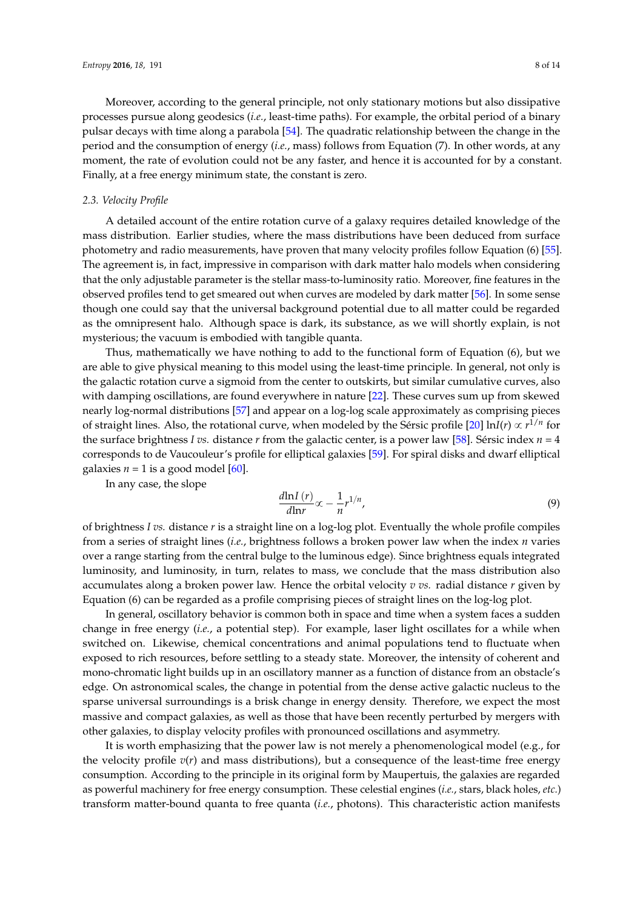Moreover, according to the general principle, not only stationary motions but also dissipative processes pursue along geodesics (*i.e.*, least-time paths). For example, the orbital period of a binary pulsar decays with time along a parabola [\[54\]](#page-13-5). The quadratic relationship between the change in the period and the consumption of energy (*i.e.*, mass) follows from Equation (7). In other words, at any moment, the rate of evolution could not be any faster, and hence it is accounted for by a constant. Finally, at a free energy minimum state, the constant is zero.

### *2.3. Velocity Profile*

A detailed account of the entire rotation curve of a galaxy requires detailed knowledge of the mass distribution. Earlier studies, where the mass distributions have been deduced from surface photometry and radio measurements, have proven that many velocity profiles follow Equation (6) [\[55\]](#page-13-6). The agreement is, in fact, impressive in comparison with dark matter halo models when considering that the only adjustable parameter is the stellar mass-to-luminosity ratio. Moreover, fine features in the observed profiles tend to get smeared out when curves are modeled by dark matter [\[56\]](#page-13-7). In some sense though one could say that the universal background potential due to all matter could be regarded as the omnipresent halo. Although space is dark, its substance, as we will shortly explain, is not mysterious; the vacuum is embodied with tangible quanta.

Thus, mathematically we have nothing to add to the functional form of Equation (6), but we are able to give physical meaning to this model using the least-time principle. In general, not only is the galactic rotation curve a sigmoid from the center to outskirts, but similar cumulative curves, also with damping oscillations, are found everywhere in nature [\[22\]](#page-12-1). These curves sum up from skewed nearly log-normal distributions [\[57\]](#page-13-8) and appear on a log-log scale approximately as comprising pieces of straight lines. Also, the rotational curve, when modeled by the Sérsic profile [\[20\]](#page-11-13)  $lnI(r) \propto r^{1/n}$  for the surface brightness *I vs.* distance *r* from the galactic center, is a power law [\[58\]](#page-13-9). Sérsic index *n* = 4 corresponds to de Vaucouleur's profile for elliptical galaxies [\[59\]](#page-13-10). For spiral disks and dwarf elliptical galaxies  $n = 1$  is a good model [\[60\]](#page-13-11).

In any case, the slope

$$
\frac{d\ln I\left(r\right)}{d\ln r} \propto -\frac{1}{n} r^{1/n},\tag{9}
$$

of brightness *I vs.* distance *r* is a straight line on a log-log plot. Eventually the whole profile compiles from a series of straight lines (*i.e.*, brightness follows a broken power law when the index *n* varies over a range starting from the central bulge to the luminous edge). Since brightness equals integrated luminosity, and luminosity, in turn, relates to mass, we conclude that the mass distribution also accumulates along a broken power law. Hence the orbital velocity *v vs.* radial distance *r* given by Equation (6) can be regarded as a profile comprising pieces of straight lines on the log-log plot.

In general, oscillatory behavior is common both in space and time when a system faces a sudden change in free energy (*i.e.*, a potential step). For example, laser light oscillates for a while when switched on. Likewise, chemical concentrations and animal populations tend to fluctuate when exposed to rich resources, before settling to a steady state. Moreover, the intensity of coherent and mono-chromatic light builds up in an oscillatory manner as a function of distance from an obstacle's edge. On astronomical scales, the change in potential from the dense active galactic nucleus to the sparse universal surroundings is a brisk change in energy density. Therefore, we expect the most massive and compact galaxies, as well as those that have been recently perturbed by mergers with other galaxies, to display velocity profiles with pronounced oscillations and asymmetry.

It is worth emphasizing that the power law is not merely a phenomenological model (e.g., for the velocity profile  $v(r)$  and mass distributions), but a consequence of the least-time free energy consumption. According to the principle in its original form by Maupertuis, the galaxies are regarded as powerful machinery for free energy consumption. These celestial engines (*i.e.*, stars, black holes, *etc.*) transform matter-bound quanta to free quanta (*i.e.*, photons). This characteristic action manifests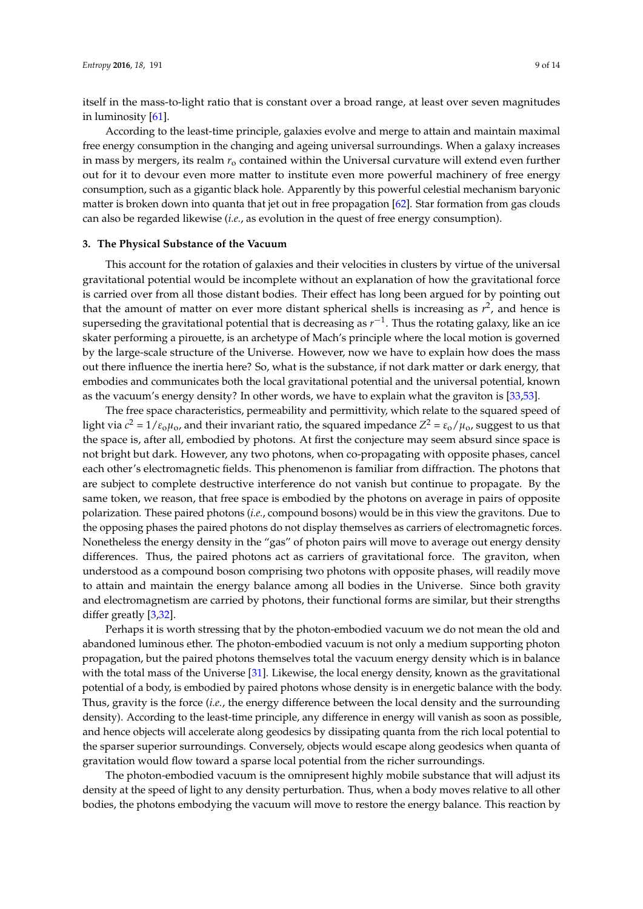itself in the mass-to-light ratio that is constant over a broad range, at least over seven magnitudes in luminosity [\[61\]](#page-13-12).

According to the least-time principle, galaxies evolve and merge to attain and maintain maximal free energy consumption in the changing and ageing universal surroundings. When a galaxy increases in mass by mergers, its realm  $r_0$  contained within the Universal curvature will extend even further out for it to devour even more matter to institute even more powerful machinery of free energy consumption, such as a gigantic black hole. Apparently by this powerful celestial mechanism baryonic matter is broken down into quanta that jet out in free propagation [\[62\]](#page-13-13). Star formation from gas clouds can also be regarded likewise (*i.e.*, as evolution in the quest of free energy consumption).

#### **3. The Physical Substance of the Vacuum**

This account for the rotation of galaxies and their velocities in clusters by virtue of the universal gravitational potential would be incomplete without an explanation of how the gravitational force is carried over from all those distant bodies. Their effect has long been argued for by pointing out that the amount of matter on ever more distant spherical shells is increasing as  $r^2$ , and hence is superseding the gravitational potential that is decreasing as  $r^{-1}.$  Thus the rotating galaxy, like an ice skater performing a pirouette, is an archetype of Mach's principle where the local motion is governed by the large-scale structure of the Universe. However, now we have to explain how does the mass out there influence the inertia here? So, what is the substance, if not dark matter or dark energy, that embodies and communicates both the local gravitational potential and the universal potential, known as the vacuum's energy density? In other words, we have to explain what the graviton is [\[33,](#page-12-11)[53\]](#page-13-4).

The free space characteristics, permeability and permittivity, which relate to the squared speed of light via  $c^2 = 1/\varepsilon_0\mu_0$ , and their invariant ratio, the squared impedance  $Z^2 = \varepsilon_0/\mu_0$ , suggest to us that the space is, after all, embodied by photons. At first the conjecture may seem absurd since space is not bright but dark. However, any two photons, when co-propagating with opposite phases, cancel each other's electromagnetic fields. This phenomenon is familiar from diffraction. The photons that are subject to complete destructive interference do not vanish but continue to propagate. By the same token, we reason, that free space is embodied by the photons on average in pairs of opposite polarization. These paired photons (*i.e.*, compound bosons) would be in this view the gravitons. Due to the opposing phases the paired photons do not display themselves as carriers of electromagnetic forces. Nonetheless the energy density in the "gas" of photon pairs will move to average out energy density differences. Thus, the paired photons act as carriers of gravitational force. The graviton, when understood as a compound boson comprising two photons with opposite phases, will readily move to attain and maintain the energy balance among all bodies in the Universe. Since both gravity and electromagnetism are carried by photons, their functional forms are similar, but their strengths differ greatly [\[3,](#page-11-1)[32\]](#page-12-10).

Perhaps it is worth stressing that by the photon-embodied vacuum we do not mean the old and abandoned luminous ether. The photon-embodied vacuum is not only a medium supporting photon propagation, but the paired photons themselves total the vacuum energy density which is in balance with the total mass of the Universe [\[31\]](#page-12-9). Likewise, the local energy density, known as the gravitational potential of a body, is embodied by paired photons whose density is in energetic balance with the body. Thus, gravity is the force (*i.e.*, the energy difference between the local density and the surrounding density). According to the least-time principle, any difference in energy will vanish as soon as possible, and hence objects will accelerate along geodesics by dissipating quanta from the rich local potential to the sparser superior surroundings. Conversely, objects would escape along geodesics when quanta of gravitation would flow toward a sparse local potential from the richer surroundings.

The photon-embodied vacuum is the omnipresent highly mobile substance that will adjust its density at the speed of light to any density perturbation. Thus, when a body moves relative to all other bodies, the photons embodying the vacuum will move to restore the energy balance. This reaction by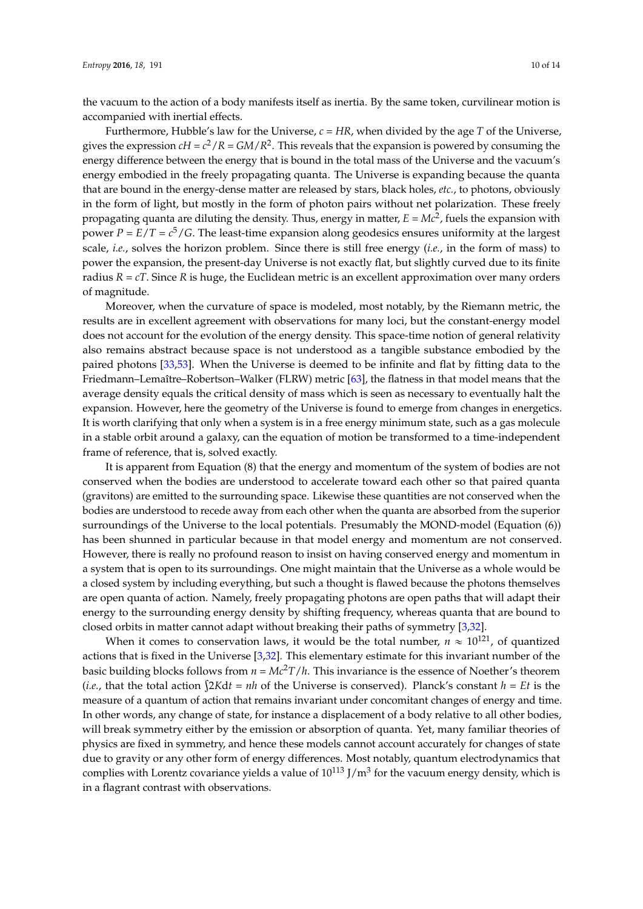the vacuum to the action of a body manifests itself as inertia. By the same token, curvilinear motion is accompanied with inertial effects.

Furthermore, Hubble's law for the Universe,  $c = HR$ , when divided by the age *T* of the Universe, gives the expression  $cH = c^2/R = GM/R^2$ . This reveals that the expansion is powered by consuming the energy difference between the energy that is bound in the total mass of the Universe and the vacuum's energy embodied in the freely propagating quanta. The Universe is expanding because the quanta that are bound in the energy-dense matter are released by stars, black holes, *etc.*, to photons, obviously in the form of light, but mostly in the form of photon pairs without net polarization. These freely propagating quanta are diluting the density. Thus, energy in matter, *E* = *Mc*<sup>2</sup> , fuels the expansion with power *P* = *E*/*T* = *c* <sup>5</sup>/*G*. The least-time expansion along geodesics ensures uniformity at the largest scale, *i.e.*, solves the horizon problem. Since there is still free energy (*i.e.*, in the form of mass) to power the expansion, the present-day Universe is not exactly flat, but slightly curved due to its finite radius *R* = *cT*. Since *R* is huge, the Euclidean metric is an excellent approximation over many orders of magnitude.

Moreover, when the curvature of space is modeled, most notably, by the Riemann metric, the results are in excellent agreement with observations for many loci, but the constant-energy model does not account for the evolution of the energy density. This space-time notion of general relativity also remains abstract because space is not understood as a tangible substance embodied by the paired photons [\[33,](#page-12-11)[53\]](#page-13-4). When the Universe is deemed to be infinite and flat by fitting data to the Friedmann–Lemaître–Robertson–Walker (FLRW) metric [\[63\]](#page-13-14), the flatness in that model means that the average density equals the critical density of mass which is seen as necessary to eventually halt the expansion. However, here the geometry of the Universe is found to emerge from changes in energetics. It is worth clarifying that only when a system is in a free energy minimum state, such as a gas molecule in a stable orbit around a galaxy, can the equation of motion be transformed to a time-independent frame of reference, that is, solved exactly.

It is apparent from Equation (8) that the energy and momentum of the system of bodies are not conserved when the bodies are understood to accelerate toward each other so that paired quanta (gravitons) are emitted to the surrounding space. Likewise these quantities are not conserved when the bodies are understood to recede away from each other when the quanta are absorbed from the superior surroundings of the Universe to the local potentials. Presumably the MOND-model (Equation (6)) has been shunned in particular because in that model energy and momentum are not conserved. However, there is really no profound reason to insist on having conserved energy and momentum in a system that is open to its surroundings. One might maintain that the Universe as a whole would be a closed system by including everything, but such a thought is flawed because the photons themselves are open quanta of action. Namely, freely propagating photons are open paths that will adapt their energy to the surrounding energy density by shifting frequency, whereas quanta that are bound to closed orbits in matter cannot adapt without breaking their paths of symmetry [\[3,](#page-11-1)[32\]](#page-12-10).

When it comes to conservation laws, it would be the total number,  $n \approx 10^{121}$ , of quantized actions that is fixed in the Universe [\[3](#page-11-1)[,32\]](#page-12-10). This elementary estimate for this invariant number of the basic building blocks follows from  $n = Mc^2T/h$ . This invariance is the essence of Noether's theorem basic building blocks follows from  $n = Mc^2I/n$ . This invariance is the essence of Noether's theorem<br>(*i.e.*, that the total action  $\Omega Kdt = nh$  of the Universe is conserved). Planck's constant  $h = Et$  is the measure of a quantum of action that remains invariant under concomitant changes of energy and time. In other words, any change of state, for instance a displacement of a body relative to all other bodies, will break symmetry either by the emission or absorption of quanta. Yet, many familiar theories of physics are fixed in symmetry, and hence these models cannot account accurately for changes of state due to gravity or any other form of energy differences. Most notably, quantum electrodynamics that complies with Lorentz covariance yields a value of  $10^{113}$  J/m<sup>3</sup> for the vacuum energy density, which is in a flagrant contrast with observations.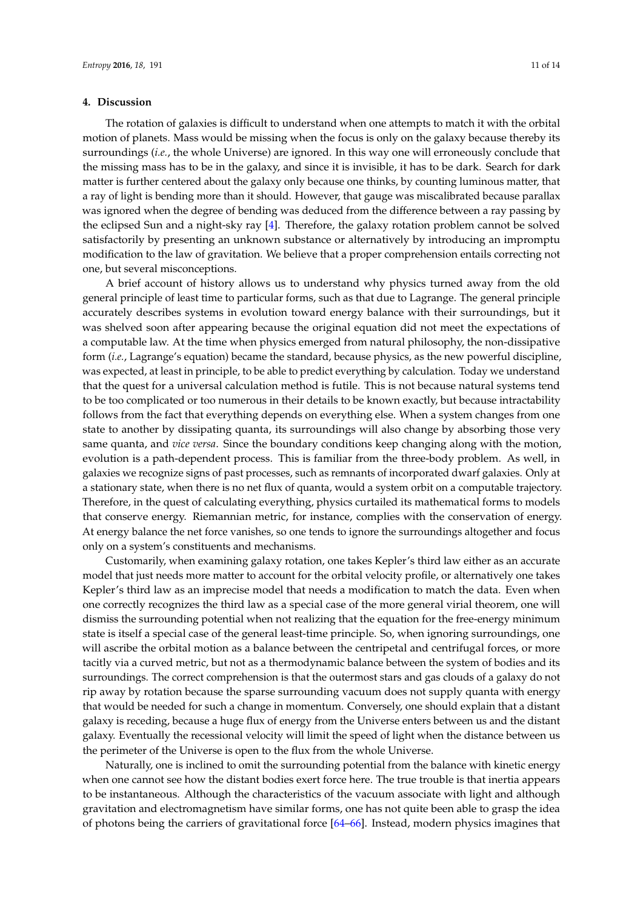#### **4. Discussion**

The rotation of galaxies is difficult to understand when one attempts to match it with the orbital motion of planets. Mass would be missing when the focus is only on the galaxy because thereby its surroundings (*i.e.*, the whole Universe) are ignored. In this way one will erroneously conclude that the missing mass has to be in the galaxy, and since it is invisible, it has to be dark. Search for dark matter is further centered about the galaxy only because one thinks, by counting luminous matter, that a ray of light is bending more than it should. However, that gauge was miscalibrated because parallax was ignored when the degree of bending was deduced from the difference between a ray passing by the eclipsed Sun and a night-sky ray [\[4\]](#page-11-2). Therefore, the galaxy rotation problem cannot be solved satisfactorily by presenting an unknown substance or alternatively by introducing an impromptu modification to the law of gravitation. We believe that a proper comprehension entails correcting not one, but several misconceptions.

A brief account of history allows us to understand why physics turned away from the old general principle of least time to particular forms, such as that due to Lagrange. The general principle accurately describes systems in evolution toward energy balance with their surroundings, but it was shelved soon after appearing because the original equation did not meet the expectations of a computable law. At the time when physics emerged from natural philosophy, the non-dissipative form (*i.e.*, Lagrange's equation) became the standard, because physics, as the new powerful discipline, was expected, at least in principle, to be able to predict everything by calculation. Today we understand that the quest for a universal calculation method is futile. This is not because natural systems tend to be too complicated or too numerous in their details to be known exactly, but because intractability follows from the fact that everything depends on everything else. When a system changes from one state to another by dissipating quanta, its surroundings will also change by absorbing those very same quanta, and *vice versa*. Since the boundary conditions keep changing along with the motion, evolution is a path-dependent process. This is familiar from the three-body problem. As well, in galaxies we recognize signs of past processes, such as remnants of incorporated dwarf galaxies. Only at a stationary state, when there is no net flux of quanta, would a system orbit on a computable trajectory. Therefore, in the quest of calculating everything, physics curtailed its mathematical forms to models that conserve energy. Riemannian metric, for instance, complies with the conservation of energy. At energy balance the net force vanishes, so one tends to ignore the surroundings altogether and focus only on a system's constituents and mechanisms.

Customarily, when examining galaxy rotation, one takes Kepler's third law either as an accurate model that just needs more matter to account for the orbital velocity profile, or alternatively one takes Kepler's third law as an imprecise model that needs a modification to match the data. Even when one correctly recognizes the third law as a special case of the more general virial theorem, one will dismiss the surrounding potential when not realizing that the equation for the free-energy minimum state is itself a special case of the general least-time principle. So, when ignoring surroundings, one will ascribe the orbital motion as a balance between the centripetal and centrifugal forces, or more tacitly via a curved metric, but not as a thermodynamic balance between the system of bodies and its surroundings. The correct comprehension is that the outermost stars and gas clouds of a galaxy do not rip away by rotation because the sparse surrounding vacuum does not supply quanta with energy that would be needed for such a change in momentum. Conversely, one should explain that a distant galaxy is receding, because a huge flux of energy from the Universe enters between us and the distant galaxy. Eventually the recessional velocity will limit the speed of light when the distance between us the perimeter of the Universe is open to the flux from the whole Universe.

Naturally, one is inclined to omit the surrounding potential from the balance with kinetic energy when one cannot see how the distant bodies exert force here. The true trouble is that inertia appears to be instantaneous. Although the characteristics of the vacuum associate with light and although gravitation and electromagnetism have similar forms, one has not quite been able to grasp the idea of photons being the carriers of gravitational force [\[64](#page-13-15)[–66\]](#page-13-16). Instead, modern physics imagines that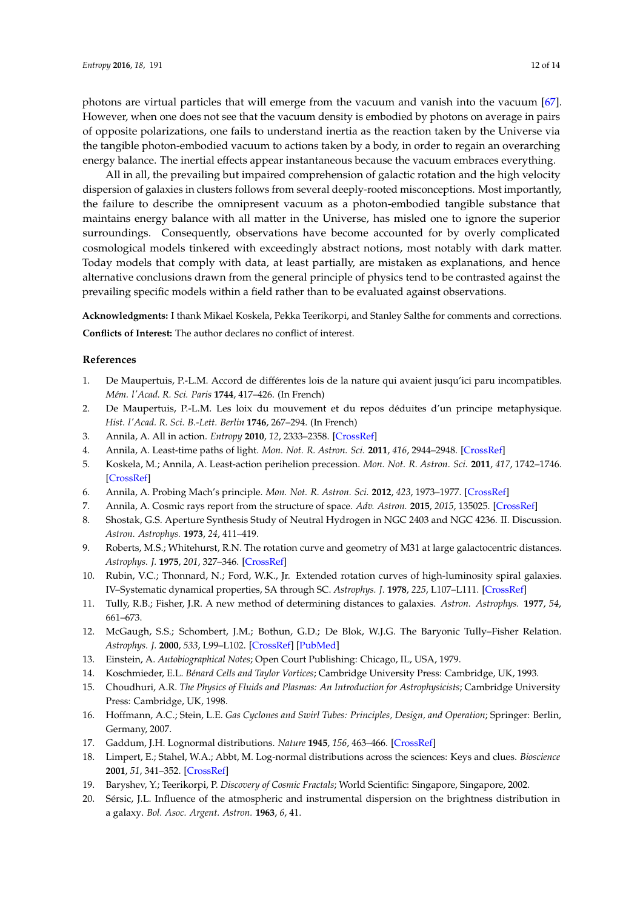photons are virtual particles that will emerge from the vacuum and vanish into the vacuum [\[67\]](#page-13-17). However, when one does not see that the vacuum density is embodied by photons on average in pairs of opposite polarizations, one fails to understand inertia as the reaction taken by the Universe via the tangible photon-embodied vacuum to actions taken by a body, in order to regain an overarching energy balance. The inertial effects appear instantaneous because the vacuum embraces everything.

All in all, the prevailing but impaired comprehension of galactic rotation and the high velocity dispersion of galaxies in clusters follows from several deeply-rooted misconceptions. Most importantly, the failure to describe the omnipresent vacuum as a photon-embodied tangible substance that maintains energy balance with all matter in the Universe, has misled one to ignore the superior surroundings. Consequently, observations have become accounted for by overly complicated cosmological models tinkered with exceedingly abstract notions, most notably with dark matter. Today models that comply with data, at least partially, are mistaken as explanations, and hence alternative conclusions drawn from the general principle of physics tend to be contrasted against the prevailing specific models within a field rather than to be evaluated against observations.

**Acknowledgments:** I thank Mikael Koskela, Pekka Teerikorpi, and Stanley Salthe for comments and corrections.

**Conflicts of Interest:** The author declares no conflict of interest.

#### **References**

- <span id="page-11-0"></span>1. De Maupertuis, P.-L.M. Accord de différentes lois de la nature qui avaient jusqu'ici paru incompatibles. *Mém. l'Acad. R. Sci. Paris* **1744**, 417–426. (In French)
- 2. De Maupertuis, P.-L.M. Les loix du mouvement et du repos déduites d'un principe metaphysique. *Hist. l'Acad. R. Sci. B.-Lett. Berlin* **1746**, 267–294. (In French)
- <span id="page-11-1"></span>3. Annila, A. All in action. *Entropy* **2010**, *12*, 2333–2358. [\[CrossRef\]](http://dx.doi.org/10.3390/e12112333)
- <span id="page-11-2"></span>4. Annila, A. Least-time paths of light. *Mon. Not. R. Astron. Sci.* **2011**, *416*, 2944–2948. [\[CrossRef\]](http://dx.doi.org/10.1111/j.1365-2966.2011.19242.x)
- 5. Koskela, M.; Annila, A. Least-action perihelion precession. *Mon. Not. R. Astron. Sci.* **2011**, *417*, 1742–1746. [\[CrossRef\]](http://dx.doi.org/10.1111/j.1365-2966.2011.19364.x)
- <span id="page-11-14"></span>6. Annila, A. Probing Mach's principle. *Mon. Not. R. Astron. Sci.* **2012**, *423*, 1973–1977. [\[CrossRef\]](http://dx.doi.org/10.1111/j.1365-2966.2012.21022.x)
- <span id="page-11-3"></span>7. Annila, A. Cosmic rays report from the structure of space. *Adv. Astron.* **2015**, *2015*, 135025. [\[CrossRef\]](http://dx.doi.org/10.1155/2015/135025)
- <span id="page-11-4"></span>8. Shostak, G.S. Aperture Synthesis Study of Neutral Hydrogen in NGC 2403 and NGC 4236. II. Discussion. *Astron. Astrophys.* **1973**, *24*, 411–419.
- 9. Roberts, M.S.; Whitehurst, R.N. The rotation curve and geometry of M31 at large galactocentric distances. *Astrophys. J.* **1975**, *201*, 327–346. [\[CrossRef\]](http://dx.doi.org/10.1086/153889)
- <span id="page-11-5"></span>10. Rubin, V.C.; Thonnard, N.; Ford, W.K., Jr. Extended rotation curves of high-luminosity spiral galaxies. IV–Systematic dynamical properties, SA through SC. *Astrophys. J.* **1978**, *225*, L107–L111. [\[CrossRef\]](http://dx.doi.org/10.1086/182804)
- <span id="page-11-6"></span>11. Tully, R.B.; Fisher, J.R. A new method of determining distances to galaxies. *Astron. Astrophys.* **1977**, *54*, 661–673.
- <span id="page-11-7"></span>12. McGaugh, S.S.; Schombert, J.M.; Bothun, G.D.; De Blok, W.J.G. The Baryonic Tully–Fisher Relation. *Astrophys. J.* **2000**, *533*, L99–L102. [\[CrossRef\]](http://dx.doi.org/10.1086/312628) [\[PubMed\]](http://www.ncbi.nlm.nih.gov/pubmed/10770699)
- <span id="page-11-8"></span>13. Einstein, A. *Autobiographical Notes*; Open Court Publishing: Chicago, IL, USA, 1979.
- <span id="page-11-9"></span>14. Koschmieder, E.L. *Bénard Cells and Taylor Vortices*; Cambridge University Press: Cambridge, UK, 1993.
- 15. Choudhuri, A.R. *The Physics of Fluids and Plasmas: An Introduction for Astrophysicists*; Cambridge University Press: Cambridge, UK, 1998.
- <span id="page-11-10"></span>16. Hoffmann, A.C.; Stein, L.E. *Gas Cyclones and Swirl Tubes: Principles, Design, and Operation*; Springer: Berlin, Germany, 2007.
- <span id="page-11-11"></span>17. Gaddum, J.H. Lognormal distributions. *Nature* **1945**, *156*, 463–466. [\[CrossRef\]](http://dx.doi.org/10.1038/156463a0)
- 18. Limpert, E.; Stahel, W.A.; Abbt, M. Log-normal distributions across the sciences: Keys and clues. *Bioscience* **2001**, *51*, 341–352. [\[CrossRef\]](http://dx.doi.org/10.1641/0006-3568(2001)051[0341:LNDATS]2.0.CO;2)
- <span id="page-11-12"></span>19. Baryshev, Y.; Teerikorpi, P. *Discovery of Cosmic Fractals*; World Scientific: Singapore, Singapore, 2002.
- <span id="page-11-13"></span>20. Sérsic, J.L. Influence of the atmospheric and instrumental dispersion on the brightness distribution in a galaxy. *Bol. Asoc. Argent. Astron.* **1963**, *6*, 41.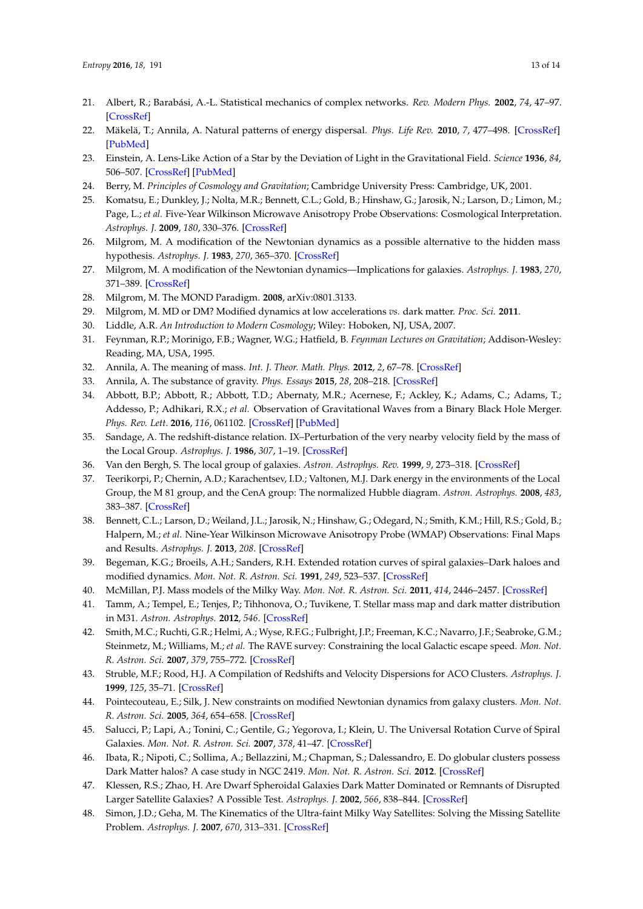- <span id="page-12-0"></span>21. Albert, R.; Barabási, A.-L. Statistical mechanics of complex networks. *Rev. Modern Phys.* **2002**, *74*, 47–97. [\[CrossRef\]](http://dx.doi.org/10.1103/RevModPhys.74.47)
- <span id="page-12-1"></span>22. Mäkelä, T.; Annila, A. Natural patterns of energy dispersal. *Phys. Life Rev.* **2010**, *7*, 477–498. [\[CrossRef\]](http://dx.doi.org/10.1016/j.plrev.2010.10.001) [\[PubMed\]](http://www.ncbi.nlm.nih.gov/pubmed/21030325)
- <span id="page-12-2"></span>23. Einstein, A. Lens-Like Action of a Star by the Deviation of Light in the Gravitational Field. *Science* **1936**, *84*, 506–507. [\[CrossRef\]](http://dx.doi.org/10.1126/science.84.2188.506) [\[PubMed\]](http://www.ncbi.nlm.nih.gov/pubmed/17769014)
- <span id="page-12-3"></span>24. Berry, M. *Principles of Cosmology and Gravitation*; Cambridge University Press: Cambridge, UK, 2001.
- <span id="page-12-4"></span>25. Komatsu, E.; Dunkley, J.; Nolta, M.R.; Bennett, C.L.; Gold, B.; Hinshaw, G.; Jarosik, N.; Larson, D.; Limon, M.; Page, L.; *et al.* Five-Year Wilkinson Microwave Anisotropy Probe Observations: Cosmological Interpretation. *Astrophys. J.* **2009**, *180*, 330–376. [\[CrossRef\]](http://dx.doi.org/10.1088/0067-0049/180/2/330)
- <span id="page-12-5"></span>26. Milgrom, M. A modification of the Newtonian dynamics as a possible alternative to the hidden mass hypothesis. *Astrophys. J.* **1983**, *270*, 365–370. [\[CrossRef\]](http://dx.doi.org/10.1086/161130)
- <span id="page-12-27"></span>27. Milgrom, M. A modification of the Newtonian dynamics—Implications for galaxies. *Astrophys. J.* **1983**, *270*, 371–389. [\[CrossRef\]](http://dx.doi.org/10.1086/161131)
- <span id="page-12-6"></span>28. Milgrom, M. The MOND Paradigm. **2008**, arXiv:0801.3133.
- <span id="page-12-7"></span>29. Milgrom, M. MD or DM? Modified dynamics at low accelerations *vs.* dark matter. *Proc. Sci.* **2011**.
- <span id="page-12-8"></span>30. Liddle, A.R. *An Introduction to Modern Cosmology*; Wiley: Hoboken, NJ, USA, 2007.
- <span id="page-12-9"></span>31. Feynman, R.P.; Morinigo, F.B.; Wagner, W.G.; Hatfield, B. *Feynman Lectures on Gravitation*; Addison-Wesley: Reading, MA, USA, 1995.
- <span id="page-12-11"></span><span id="page-12-10"></span>32. Annila, A. The meaning of mass. *Int. J. Theor. Math. Phys.* **2012**, *2*, 67–78. [\[CrossRef\]](http://dx.doi.org/10.5923/j.ijtmp.20120204.03)
- <span id="page-12-12"></span>33. Annila, A. The substance of gravity. *Phys. Essays* **2015**, *28*, 208–218. [\[CrossRef\]](http://dx.doi.org/10.4006/0836-1398-28.2.208)
- 34. Abbott, B.P.; Abbott, R.; Abbott, T.D.; Abernaty, M.R.; Acernese, F.; Ackley, K.; Adams, C.; Adams, T.; Addesso, P.; Adhikari, R.X.; *et al.* Observation of Gravitational Waves from a Binary Black Hole Merger. *Phys. Rev. Lett.* **2016**, *116*, 061102. [\[CrossRef\]](http://dx.doi.org/10.1103/PhysRevLett.116.061102) [\[PubMed\]](http://www.ncbi.nlm.nih.gov/pubmed/26918975)
- <span id="page-12-13"></span>35. Sandage, A. The redshift-distance relation. IX–Perturbation of the very nearby velocity field by the mass of the Local Group. *Astrophys. J.* **1986**, *307*, 1–19. [\[CrossRef\]](http://dx.doi.org/10.1086/164387)
- <span id="page-12-26"></span>36. Van den Bergh, S. The local group of galaxies. *Astron. Astrophys. Rev.* **1999**, *9*, 273–318. [\[CrossRef\]](http://dx.doi.org/10.1007/s001590050019)
- <span id="page-12-14"></span>37. Teerikorpi, P.; Chernin, A.D.; Karachentsev, I.D.; Valtonen, M.J. Dark energy in the environments of the Local Group, the M 81 group, and the CenA group: The normalized Hubble diagram. *Astron. Astrophys.* **2008**, *483*, 383–387. [\[CrossRef\]](http://dx.doi.org/10.1051/0004-6361:20078894)
- <span id="page-12-15"></span>38. Bennett, C.L.; Larson, D.; Weiland, J.L.; Jarosik, N.; Hinshaw, G.; Odegard, N.; Smith, K.M.; Hill, R.S.; Gold, B.; Halpern, M.; *et al.* Nine-Year Wilkinson Microwave Anisotropy Probe (WMAP) Observations: Final Maps and Results. *Astrophys. J.* **2013**, *208*. [\[CrossRef\]](http://dx.doi.org/10.1088/0067-0049/208/2/20)
- <span id="page-12-16"></span>39. Begeman, K.G.; Broeils, A.H.; Sanders, R.H. Extended rotation curves of spiral galaxies–Dark haloes and modified dynamics. *Mon. Not. R. Astron. Sci.* **1991**, *249*, 523–537. [\[CrossRef\]](http://dx.doi.org/10.1093/mnras/249.3.523)
- <span id="page-12-17"></span>40. McMillan, P.J. Mass models of the Milky Way. *Mon. Not. R. Astron. Sci.* **2011**, *414*, 2446–2457. [\[CrossRef\]](http://dx.doi.org/10.1111/j.1365-2966.2011.18564.x)
- <span id="page-12-18"></span>41. Tamm, A.; Tempel, E.; Tenjes, P.; Tihhonova, O.; Tuvikene, T. Stellar mass map and dark matter distribution in M31. *Astron. Astrophys.* **2012**, *546*. [\[CrossRef\]](http://dx.doi.org/10.1051/0004-6361/201220065)
- <span id="page-12-19"></span>42. Smith, M.C.; Ruchti, G.R.; Helmi, A.; Wyse, R.F.G.; Fulbright, J.P.; Freeman, K.C.; Navarro, J.F.; Seabroke, G.M.; Steinmetz, M.; Williams, M.; *et al.* The RAVE survey: Constraining the local Galactic escape speed. *Mon. Not. R. Astron. Sci.* **2007**, *379*, 755–772. [\[CrossRef\]](http://dx.doi.org/10.1111/j.1365-2966.2007.11964.x)
- <span id="page-12-20"></span>43. Struble, M.F.; Rood, H.J. A Compilation of Redshifts and Velocity Dispersions for ACO Clusters. *Astrophys. J.* **1999**, *125*, 35–71. [\[CrossRef\]](http://dx.doi.org/10.1086/313274)
- <span id="page-12-21"></span>44. Pointecouteau, E.; Silk, J. New constraints on modified Newtonian dynamics from galaxy clusters. *Mon. Not. R. Astron. Sci.* **2005**, *364*, 654–658. [\[CrossRef\]](http://dx.doi.org/10.1111/j.1365-2966.2005.09590.x)
- <span id="page-12-22"></span>45. Salucci, P.; Lapi, A.; Tonini, C.; Gentile, G.; Yegorova, I.; Klein, U. The Universal Rotation Curve of Spiral Galaxies. *Mon. Not. R. Astron. Sci.* **2007**, *378*, 41–47. [\[CrossRef\]](http://dx.doi.org/10.1111/j.1365-2966.2007.11696.x)
- <span id="page-12-23"></span>46. Ibata, R.; Nipoti, C.; Sollima, A.; Bellazzini, M.; Chapman, S.; Dalessandro, E. Do globular clusters possess Dark Matter halos? A case study in NGC 2419. *Mon. Not. R. Astron. Sci.* **2012**. [\[CrossRef\]](http://dx.doi.org/10.1093/mnras/sts302)
- <span id="page-12-24"></span>47. Klessen, R.S.; Zhao, H. Are Dwarf Spheroidal Galaxies Dark Matter Dominated or Remnants of Disrupted Larger Satellite Galaxies? A Possible Test. *Astrophys. J.* **2002**, *566*, 838–844. [\[CrossRef\]](http://dx.doi.org/10.1086/338222)
- <span id="page-12-25"></span>48. Simon, J.D.; Geha, M. The Kinematics of the Ultra-faint Milky Way Satellites: Solving the Missing Satellite Problem. *Astrophys. J.* **2007**, *670*, 313–331. [\[CrossRef\]](http://dx.doi.org/10.1086/521816)